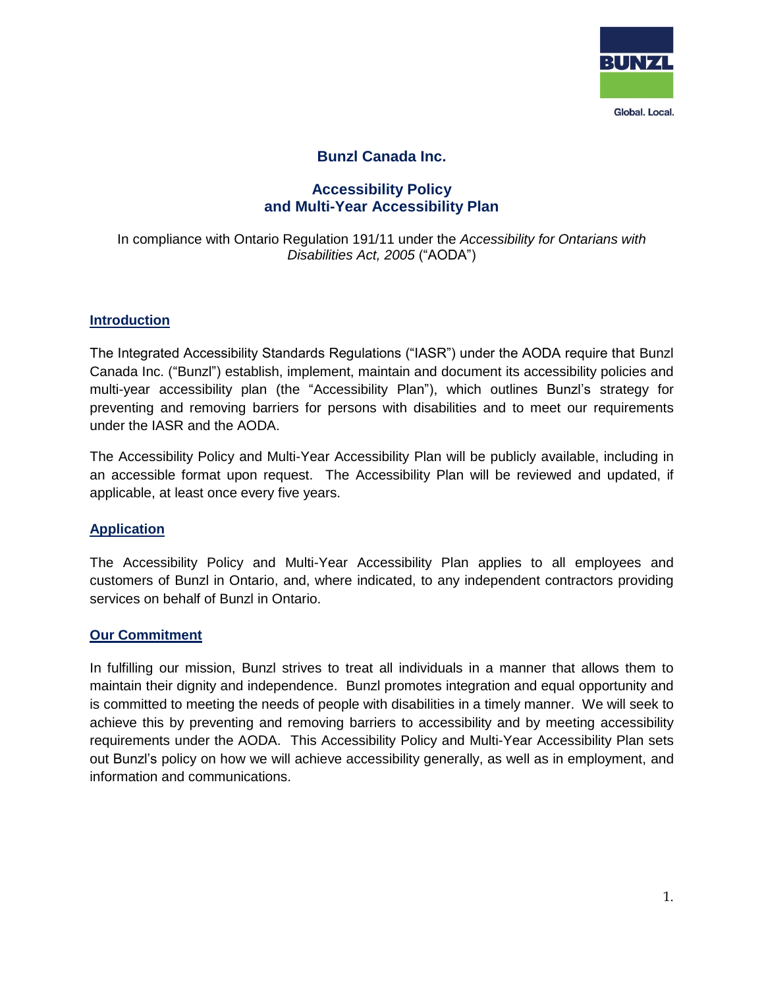

# **Bunzl Canada Inc.**

# **Accessibility Policy and Multi-Year Accessibility Plan**

#### In compliance with Ontario Regulation 191/11 under the *Accessibility for Ontarians with Disabilities Act, 2005* ("AODA")

#### **Introduction**

The Integrated Accessibility Standards Regulations ("IASR") under the AODA require that Bunzl Canada Inc. ("Bunzl") establish, implement, maintain and document its accessibility policies and multi-year accessibility plan (the "Accessibility Plan"), which outlines Bunzl's strategy for preventing and removing barriers for persons with disabilities and to meet our requirements under the IASR and the AODA.

The Accessibility Policy and Multi-Year Accessibility Plan will be publicly available, including in an accessible format upon request. The Accessibility Plan will be reviewed and updated, if applicable, at least once every five years.

#### **Application**

The Accessibility Policy and Multi-Year Accessibility Plan applies to all employees and customers of Bunzl in Ontario, and, where indicated, to any independent contractors providing services on behalf of Bunzl in Ontario.

#### **Our Commitment**

In fulfilling our mission, Bunzl strives to treat all individuals in a manner that allows them to maintain their dignity and independence. Bunzl promotes integration and equal opportunity and is committed to meeting the needs of people with disabilities in a timely manner. We will seek to achieve this by preventing and removing barriers to accessibility and by meeting accessibility requirements under the AODA. This Accessibility Policy and Multi-Year Accessibility Plan sets out Bunzl's policy on how we will achieve accessibility generally, as well as in employment, and information and communications.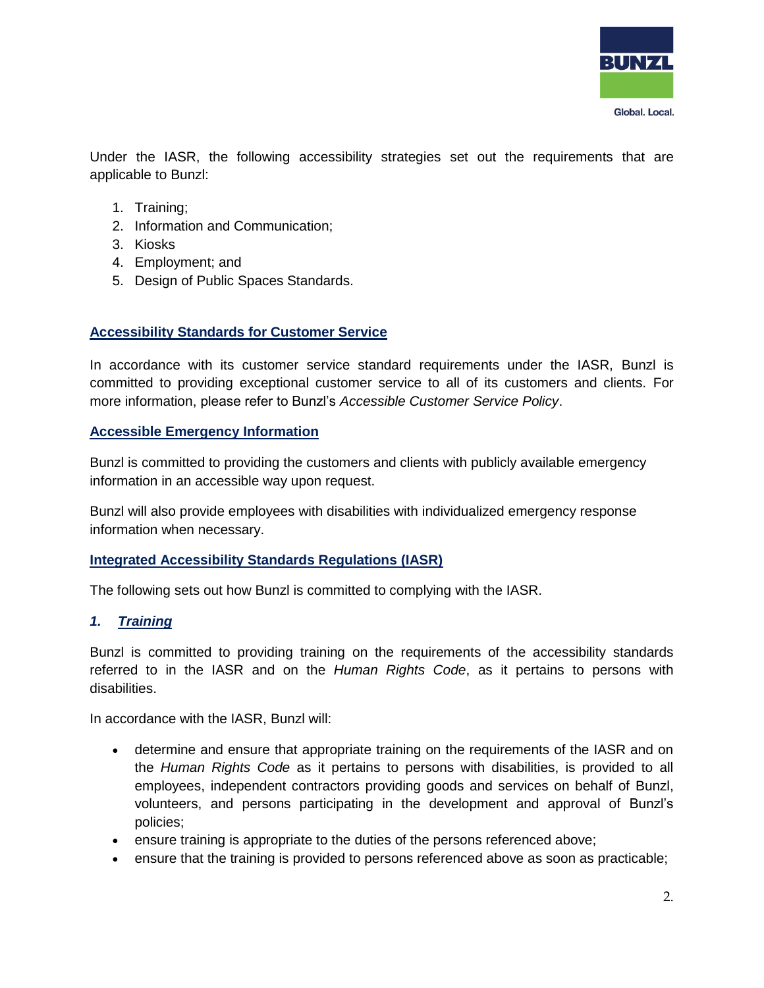

Under the IASR, the following accessibility strategies set out the requirements that are applicable to Bunzl:

- 1. Training;
- 2. Information and Communication;
- 3. Kiosks
- 4. Employment; and
- 5. Design of Public Spaces Standards.

### **Accessibility Standards for Customer Service**

In accordance with its customer service standard requirements under the IASR, Bunzl is committed to providing exceptional customer service to all of its customers and clients. For more information, please refer to Bunzl's *Accessible Customer Service Policy*.

#### **Accessible Emergency Information**

Bunzl is committed to providing the customers and clients with publicly available emergency information in an accessible way upon request.

Bunzl will also provide employees with disabilities with individualized emergency response information when necessary.

### **Integrated Accessibility Standards Regulations (IASR)**

The following sets out how Bunzl is committed to complying with the IASR.

### *1. Training*

Bunzl is committed to providing training on the requirements of the accessibility standards referred to in the IASR and on the *Human Rights Code*, as it pertains to persons with disabilities.

In accordance with the IASR, Bunzl will:

- determine and ensure that appropriate training on the requirements of the IASR and on the *Human Rights Code* as it pertains to persons with disabilities, is provided to all employees, independent contractors providing goods and services on behalf of Bunzl, volunteers, and persons participating in the development and approval of Bunzl's policies;
- ensure training is appropriate to the duties of the persons referenced above;
- ensure that the training is provided to persons referenced above as soon as practicable;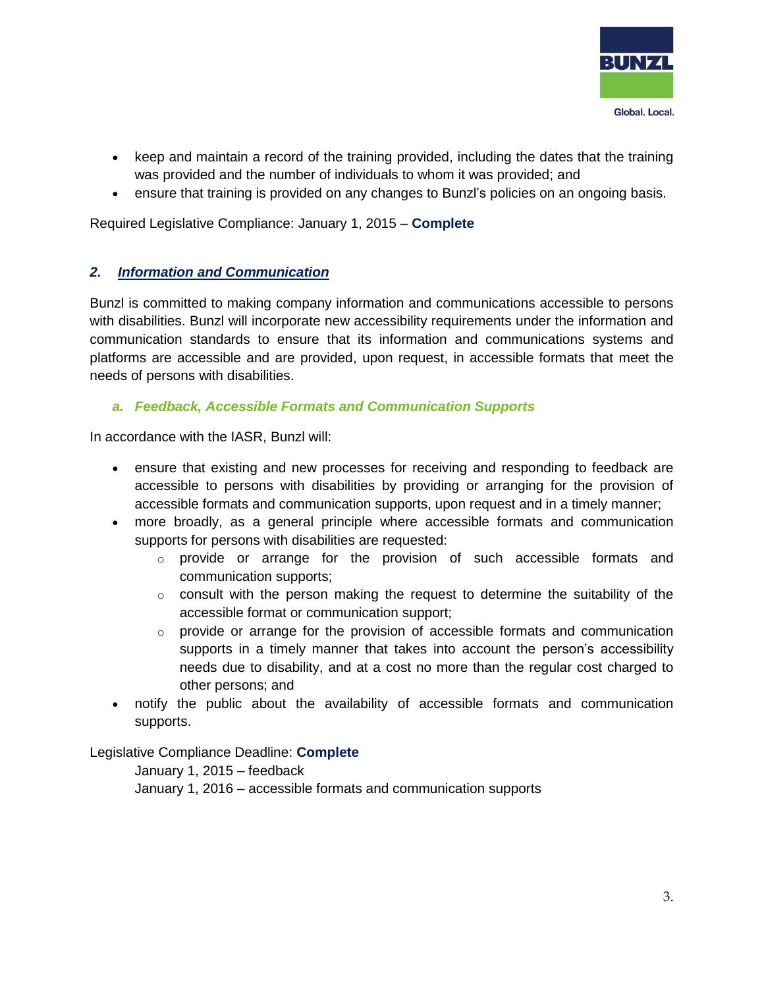

- keep and maintain a record of the training provided, including the dates that the training was provided and the number of individuals to whom it was provided; and
- ensure that training is provided on any changes to Bunzl's policies on an ongoing basis.

Required Legislative Compliance: January 1, 2015 – **Complete**

### *2. Information and Communication*

Bunzl is committed to making company information and communications accessible to persons with disabilities. Bunzl will incorporate new accessibility requirements under the information and communication standards to ensure that its information and communications systems and platforms are accessible and are provided, upon request, in accessible formats that meet the needs of persons with disabilities.

## *a. Feedback, Accessible Formats and Communication Supports*

In accordance with the IASR, Bunzl will:

- ensure that existing and new processes for receiving and responding to feedback are accessible to persons with disabilities by providing or arranging for the provision of accessible formats and communication supports, upon request and in a timely manner;
- more broadly, as a general principle where accessible formats and communication supports for persons with disabilities are requested:
	- $\circ$  provide or arrange for the provision of such accessible formats and communication supports;
	- $\circ$  consult with the person making the request to determine the suitability of the accessible format or communication support;
	- o provide or arrange for the provision of accessible formats and communication supports in a timely manner that takes into account the person's accessibility needs due to disability, and at a cost no more than the regular cost charged to other persons; and
- notify the public about the availability of accessible formats and communication supports.

Legislative Compliance Deadline: **Complete** 

January 1, 2015 – feedback

January 1, 2016 – accessible formats and communication supports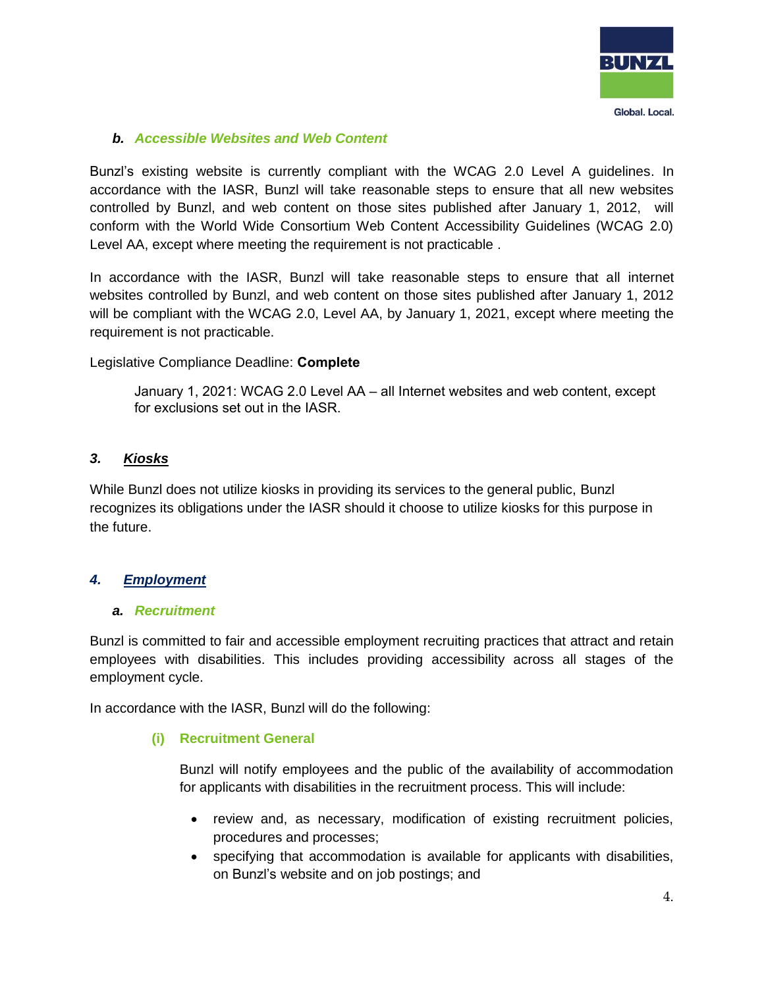

### *b. Accessible Websites and Web Content*

Bunzl's existing website is currently compliant with the WCAG 2.0 Level A guidelines. In accordance with the IASR, Bunzl will take reasonable steps to ensure that all new websites controlled by Bunzl, and web content on those sites published after January 1, 2012, will conform with the World Wide Consortium Web Content Accessibility Guidelines (WCAG 2.0) Level AA, except where meeting the requirement is not practicable .

In accordance with the IASR, Bunzl will take reasonable steps to ensure that all internet websites controlled by Bunzl, and web content on those sites published after January 1, 2012 will be compliant with the WCAG 2.0, Level AA, by January 1, 2021, except where meeting the requirement is not practicable.

### Legislative Compliance Deadline: **Complete**

January 1, 2021: WCAG 2.0 Level AA – all Internet websites and web content, except for exclusions set out in the IASR.

## *3. Kiosks*

While Bunzl does not utilize kiosks in providing its services to the general public, Bunzl recognizes its obligations under the IASR should it choose to utilize kiosks for this purpose in the future.

### *4. Employment*

#### *a. Recruitment*

Bunzl is committed to fair and accessible employment recruiting practices that attract and retain employees with disabilities. This includes providing accessibility across all stages of the employment cycle.

In accordance with the IASR, Bunzl will do the following:

### **(i) Recruitment General**

Bunzl will notify employees and the public of the availability of accommodation for applicants with disabilities in the recruitment process. This will include:

- review and, as necessary, modification of existing recruitment policies, procedures and processes;
- specifying that accommodation is available for applicants with disabilities, on Bunzl's website and on job postings; and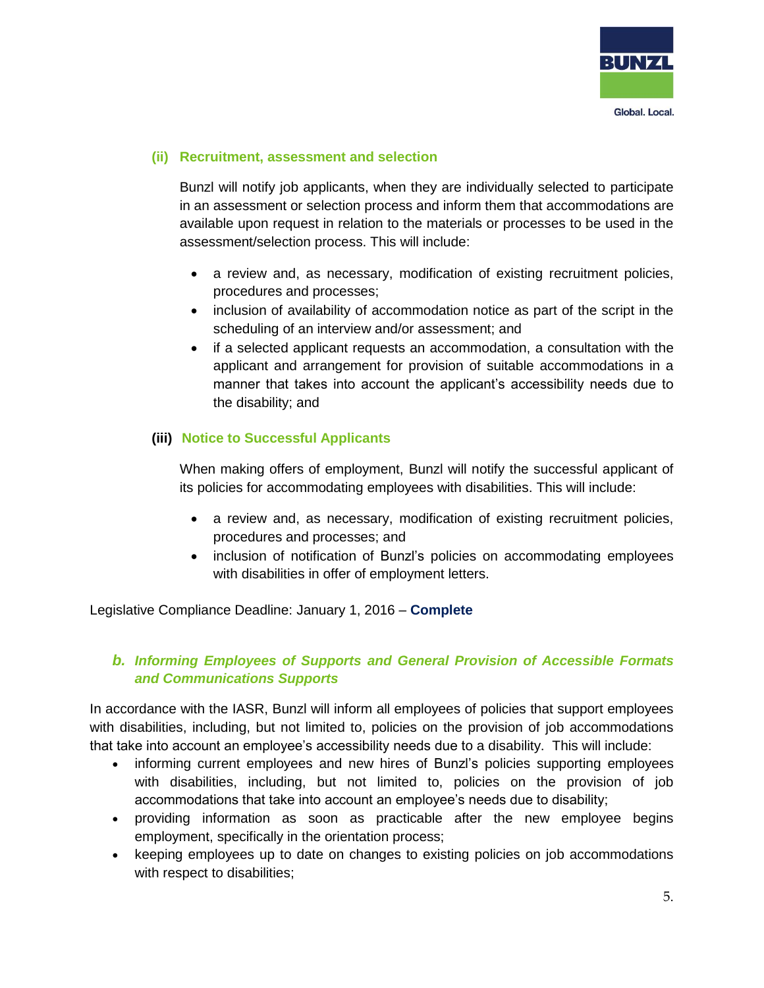

### **(ii) Recruitment, assessment and selection**

Bunzl will notify job applicants, when they are individually selected to participate in an assessment or selection process and inform them that accommodations are available upon request in relation to the materials or processes to be used in the assessment/selection process. This will include:

- a review and, as necessary, modification of existing recruitment policies, procedures and processes;
- inclusion of availability of accommodation notice as part of the script in the scheduling of an interview and/or assessment; and
- if a selected applicant requests an accommodation, a consultation with the applicant and arrangement for provision of suitable accommodations in a manner that takes into account the applicant's accessibility needs due to the disability; and

## **(iii) Notice to Successful Applicants**

When making offers of employment, Bunzl will notify the successful applicant of its policies for accommodating employees with disabilities. This will include:

- a review and, as necessary, modification of existing recruitment policies, procedures and processes; and
- inclusion of notification of Bunzl's policies on accommodating employees with disabilities in offer of employment letters.

Legislative Compliance Deadline: January 1, 2016 – **Complete**

# *b. Informing Employees of Supports and General Provision of Accessible Formats and Communications Supports*

In accordance with the IASR, Bunzl will inform all employees of policies that support employees with disabilities, including, but not limited to, policies on the provision of job accommodations that take into account an employee's accessibility needs due to a disability. This will include:

- informing current employees and new hires of Bunzl's policies supporting employees with disabilities, including, but not limited to, policies on the provision of job accommodations that take into account an employee's needs due to disability;
- providing information as soon as practicable after the new employee begins employment, specifically in the orientation process;
- keeping employees up to date on changes to existing policies on job accommodations with respect to disabilities;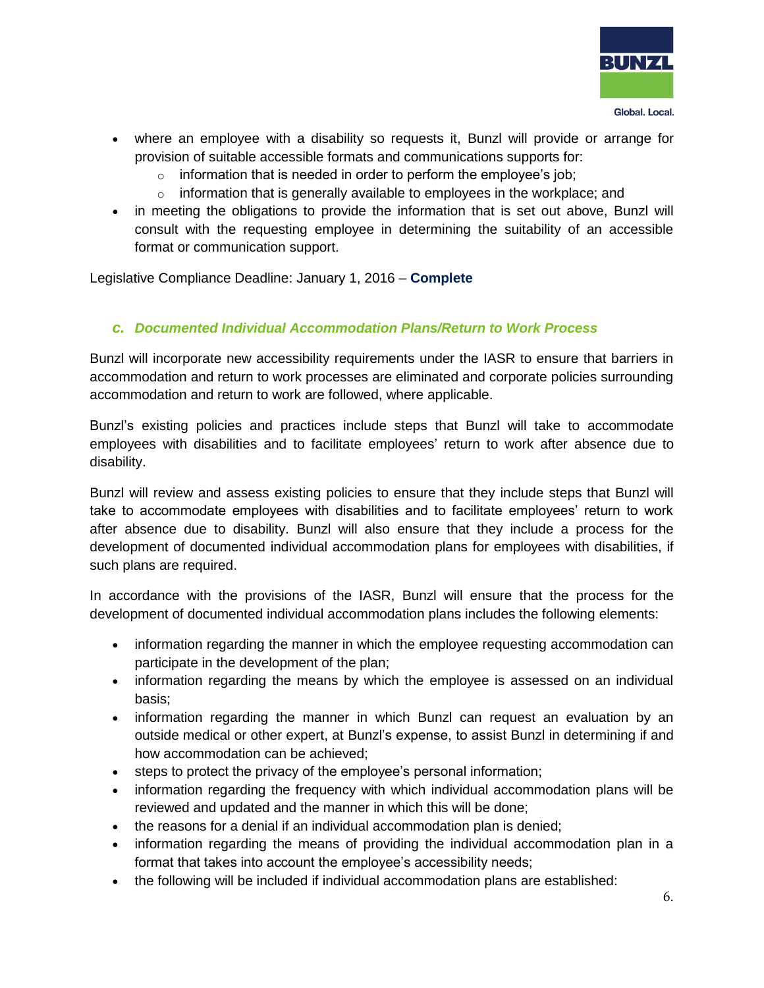

- where an employee with a disability so requests it, Bunzl will provide or arrange for provision of suitable accessible formats and communications supports for:
	- $\circ$  information that is needed in order to perform the employee's job;
	- $\circ$  information that is generally available to employees in the workplace; and
- in meeting the obligations to provide the information that is set out above, Bunzl will consult with the requesting employee in determining the suitability of an accessible format or communication support.

Legislative Compliance Deadline: January 1, 2016 – **Complete** 

## *c. Documented Individual Accommodation Plans/Return to Work Process*

Bunzl will incorporate new accessibility requirements under the IASR to ensure that barriers in accommodation and return to work processes are eliminated and corporate policies surrounding accommodation and return to work are followed, where applicable.

Bunzl's existing policies and practices include steps that Bunzl will take to accommodate employees with disabilities and to facilitate employees' return to work after absence due to disability.

Bunzl will review and assess existing policies to ensure that they include steps that Bunzl will take to accommodate employees with disabilities and to facilitate employees' return to work after absence due to disability. Bunzl will also ensure that they include a process for the development of documented individual accommodation plans for employees with disabilities, if such plans are required.

In accordance with the provisions of the IASR, Bunzl will ensure that the process for the development of documented individual accommodation plans includes the following elements:

- information regarding the manner in which the employee requesting accommodation can participate in the development of the plan;
- information regarding the means by which the employee is assessed on an individual basis;
- information regarding the manner in which Bunzl can request an evaluation by an outside medical or other expert, at Bunzl's expense, to assist Bunzl in determining if and how accommodation can be achieved;
- steps to protect the privacy of the employee's personal information;
- information regarding the frequency with which individual accommodation plans will be reviewed and updated and the manner in which this will be done;
- the reasons for a denial if an individual accommodation plan is denied:
- information regarding the means of providing the individual accommodation plan in a format that takes into account the employee's accessibility needs;
- the following will be included if individual accommodation plans are established: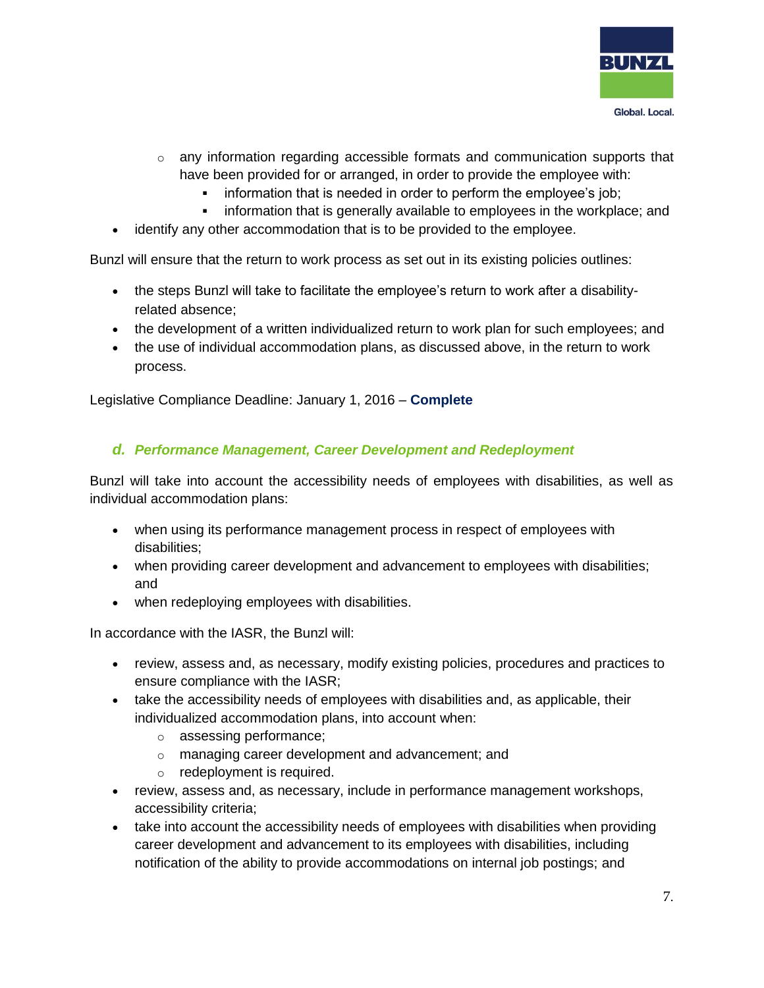

- $\circ$  any information regarding accessible formats and communication supports that have been provided for or arranged, in order to provide the employee with:
	- **EXED** information that is needed in order to perform the employee's job;
	- information that is generally available to employees in the workplace; and
- identify any other accommodation that is to be provided to the employee.

Bunzl will ensure that the return to work process as set out in its existing policies outlines:

- the steps Bunzl will take to facilitate the employee's return to work after a disabilityrelated absence;
- the development of a written individualized return to work plan for such employees; and
- the use of individual accommodation plans, as discussed above, in the return to work process.

Legislative Compliance Deadline: January 1, 2016 – **Complete**

### *d. Performance Management, Career Development and Redeployment*

Bunzl will take into account the accessibility needs of employees with disabilities, as well as individual accommodation plans:

- when using its performance management process in respect of employees with disabilities;
- when providing career development and advancement to employees with disabilities; and
- when redeploying employees with disabilities.

In accordance with the IASR, the Bunzl will:

- review, assess and, as necessary, modify existing policies, procedures and practices to ensure compliance with the IASR;
- take the accessibility needs of employees with disabilities and, as applicable, their individualized accommodation plans, into account when:
	- o assessing performance;
	- o managing career development and advancement; and
	- o redeployment is required.
- review, assess and, as necessary, include in performance management workshops, accessibility criteria;
- take into account the accessibility needs of employees with disabilities when providing career development and advancement to its employees with disabilities, including notification of the ability to provide accommodations on internal job postings; and